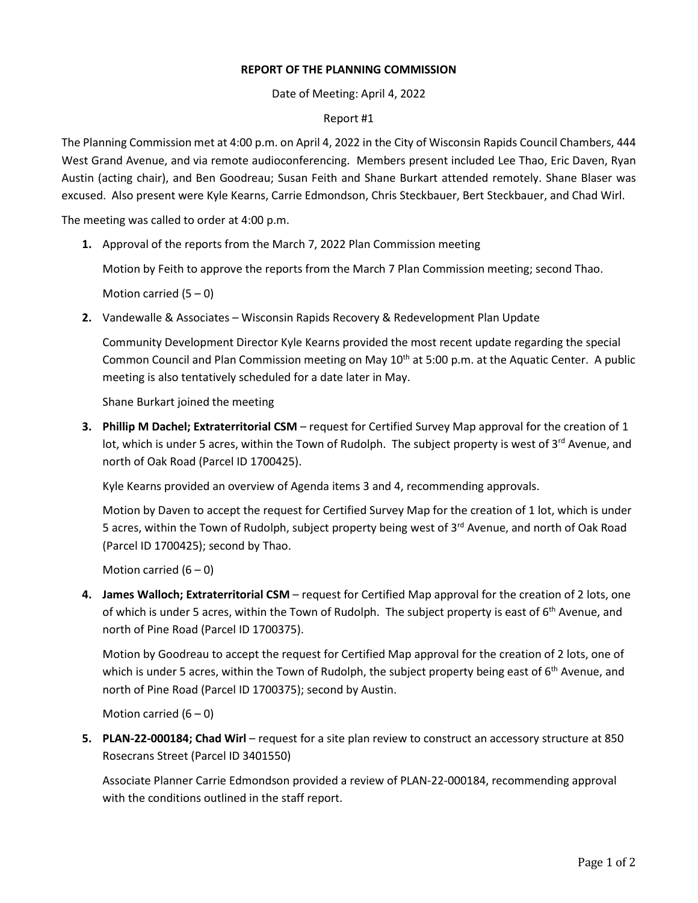## **REPORT OF THE PLANNING COMMISSION**

Date of Meeting: April 4, 2022

## Report #1

The Planning Commission met at 4:00 p.m. on April 4, 2022 in the City of Wisconsin Rapids Council Chambers, 444 West Grand Avenue, and via remote audioconferencing. Members present included Lee Thao, Eric Daven, Ryan Austin (acting chair), and Ben Goodreau; Susan Feith and Shane Burkart attended remotely. Shane Blaser was excused. Also present were Kyle Kearns, Carrie Edmondson, Chris Steckbauer, Bert Steckbauer, and Chad Wirl.

The meeting was called to order at 4:00 p.m.

**1.** Approval of the reports from the March 7, 2022 Plan Commission meeting

Motion by Feith to approve the reports from the March 7 Plan Commission meeting; second Thao.

Motion carried  $(5 - 0)$ 

**2.** Vandewalle & Associates – Wisconsin Rapids Recovery & Redevelopment Plan Update

Community Development Director Kyle Kearns provided the most recent update regarding the special Common Council and Plan Commission meeting on May  $10<sup>th</sup>$  at 5:00 p.m. at the Aquatic Center. A public meeting is also tentatively scheduled for a date later in May.

Shane Burkart joined the meeting

**3. Phillip M Dachel; Extraterritorial CSM** – request for Certified Survey Map approval for the creation of 1 lot, which is under 5 acres, within the Town of Rudolph. The subject property is west of  $3<sup>rd</sup>$  Avenue, and north of Oak Road (Parcel ID 1700425).

Kyle Kearns provided an overview of Agenda items 3 and 4, recommending approvals.

Motion by Daven to accept the request for Certified Survey Map for the creation of 1 lot, which is under 5 acres, within the Town of Rudolph, subject property being west of 3<sup>rd</sup> Avenue, and north of Oak Road (Parcel ID 1700425); second by Thao.

Motion carried  $(6 - 0)$ 

**4. James Walloch; Extraterritorial CSM** – request for Certified Map approval for the creation of 2 lots, one of which is under 5 acres, within the Town of Rudolph. The subject property is east of  $6<sup>th</sup>$  Avenue, and north of Pine Road (Parcel ID 1700375).

Motion by Goodreau to accept the request for Certified Map approval for the creation of 2 lots, one of which is under 5 acres, within the Town of Rudolph, the subject property being east of  $6<sup>th</sup>$  Avenue, and north of Pine Road (Parcel ID 1700375); second by Austin.

Motion carried  $(6 - 0)$ 

**5. PLAN-22-000184; Chad Wirl** – request for a site plan review to construct an accessory structure at 850 Rosecrans Street (Parcel ID 3401550)

Associate Planner Carrie Edmondson provided a review of PLAN-22-000184, recommending approval with the conditions outlined in the staff report.